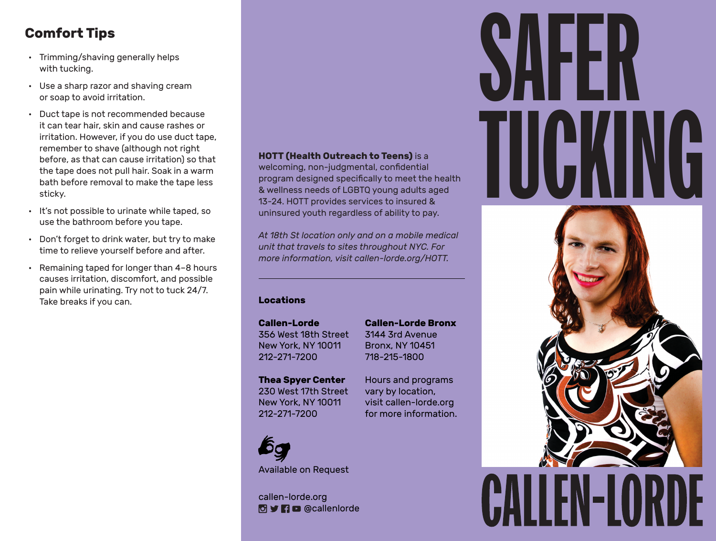# **Comfort Tips**

- Trimming/shaving generally helps with tucking.
- Use a sharp razor and shaving cream or soap to avoid irritation.
- Duct tape is not recommended because it can tear hair, skin and cause rashes or irritation. However, if you do use duct tape, remember to shave (although not right before, as that can cause irritation) so that the tape does not pull hair. Soak in a warm bath before removal to make the tape less sticky.
- It's not possible to urinate while taped, so use the bathroom before you tape.
- Don't forget to drink water, but try to make time to relieve yourself before and after.
- Remaining taped for longer than 4–8 hours causes irritation, discomfort, and possible pain while urinating. Try not to tuck 24/7. Take breaks if you can.

#### **HOTT (Health Outreach to Teens)** is a

welcoming, non-judgmental, confidential program designed specifically to meet the health & wellness needs of LGBTQ young adults aged 13-24. HOTT provides services to insured & uninsured youth regardless of ability to pay.

*At 18th St location only and on a mobile medical unit that travels to sites throughout NYC. For more information, visit callen-lorde.org/HOTT.*

#### **Locations**

**Callen-Lorde** 356 West 18th Street New York, NY 10011 212-271-7200

**Callen-Lorde Bronx** 3144 3rd Avenue Bronx, NY 10451 718-215-1800

Hours and programs vary by location, visit callen-lorde.org for more information.

**Thea Spyer Center** 230 West 17th Street New York, NY 10011 212-271-7200



Available on Request

callen-lorde.org **O** y **n** c @callenlorde

# SAFER TUCKING